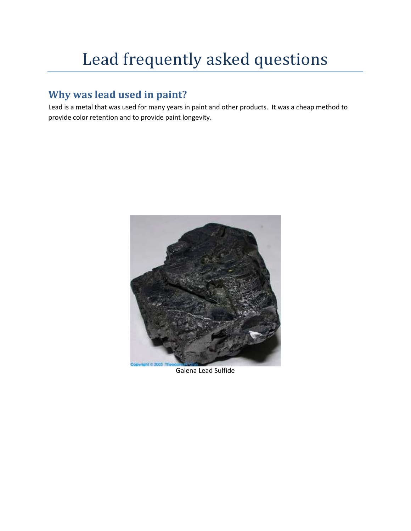# Lead frequently asked questions

## **Why was lead used in paint?**

Lead is a metal that was used for many years in paint and other products. It was a cheap method to provide color retention and to provide paint longevity.



Galena Lead Sulfide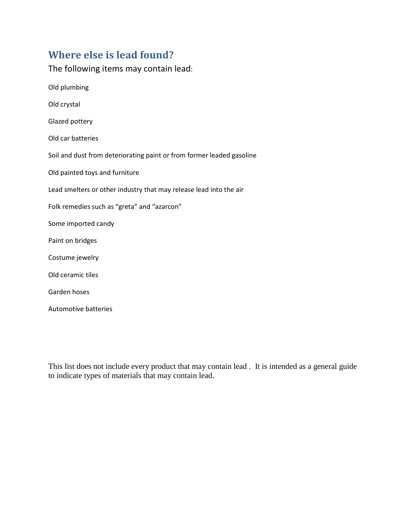## **Where else is lead found?**

The following items may contain lead: Old plumbing Old crystal Glazed pottery Old car batteries Soil and dust from deteriorating paint or from former leaded gasoline Old painted toys and furniture Lead smelters or other industry that may release lead into the air Folk remedies such as "greta" and "azarcon" Some imported candy Paint on bridges Costume jewelry Old ceramic tiles Garden hoses

Automotive batteries

This list does not include every product that may contain lead . It is intended as a general guide to indicate types of materials that may contain lead.